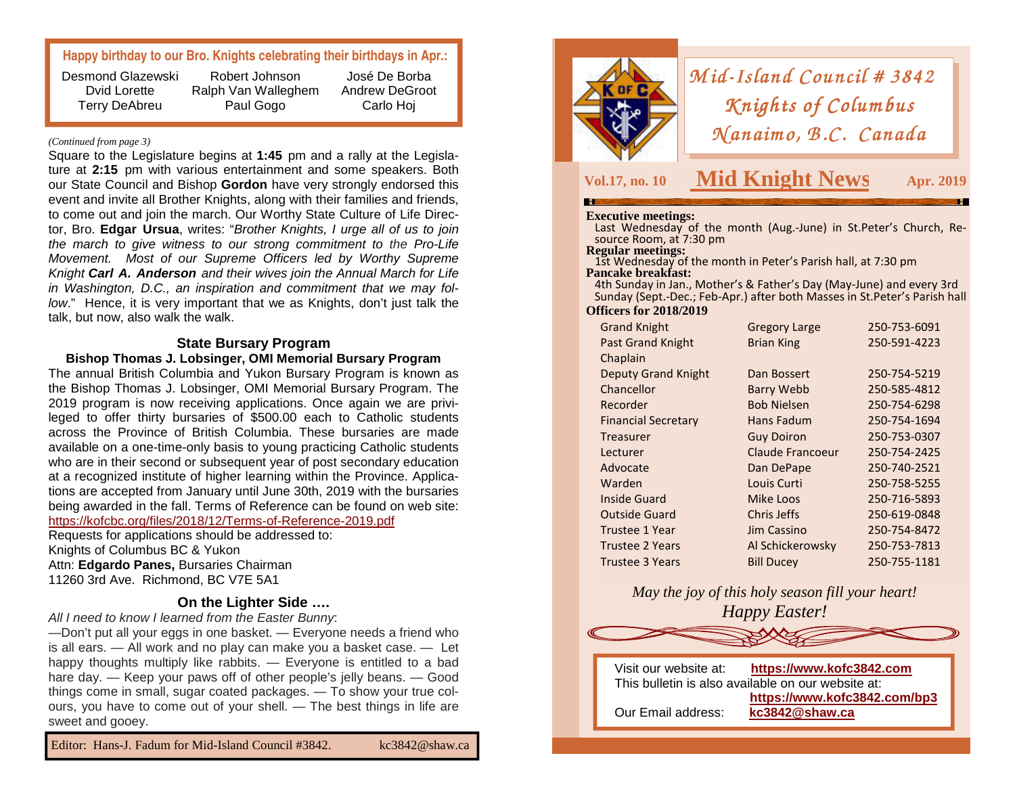## **Happy birthday to our Bro. Knights celebrating their birthdays in Apr.:**

Desmond Glazewski Dvid Lorette Terry DeAbreu

Robert Johnson Ralph Van Walleghem Paul Gogo

José De Borba Andrew DeGroot Carlo Hoj

### *(Continued from page 3)*

Square to the Legislature begins at **1:45** pm and a rally at the Legisla ture at **2:15** pm with various entertainment and some speakers. Both our State Council and Bishop **Gordon** have very strongly endorsed this event and invite all Brother Knights, along with their families and friends, to come out and join the march. Our Worthy State Culture of Life Director, Bro. **Edgar Ursua**, writes: "Brother Knights, I urge all of us to join the march to give witness to our strong commitment to the Pro-Life Movement. Most of our Supreme Officers led by Worthy Supreme Knight **Carl A. Anderson** and their wives join the Annual March for Life in Washington, D.C., an inspiration and commitment that we may follow." Hence, it is very important that we as Knights, don't just talk the talk, but now, also walk the walk.

### **State Bursary Program**

**Bishop Thomas J. Lobsinger, OMI Memorial Bursary Program** 

 The annual British Columbia and Yukon Bursary Program is known as the Bishop Thomas J. Lobsinger, OMI Memorial Bursary Program. The 2019 program is now receiving applications. Once again we are privileged to offer thirty bursaries of \$500.00 each to Catholic students across the Province of British Columbia. These bursaries are made available on a one-time-only basis to young practicing Catholic students who are in their second or subsequent year of post secondary education at a recognized institute of higher learning within the Province. Applications are accepted from January until June 30th, 2019 with the bursaries being awarded in the fall. Terms of Reference can be found on web site: https://kofcbc.org/files/2018/12/Terms-of-Reference-2019.pdf

Requests for applications should be addressed to: Knights of Columbus BC & Yukon Attn: **Edgardo Panes,** Bursaries Chairman 11260 3rd Ave. Richmond, BC V7E 5A1

### **On the Lighter Side ….**

All I need to know I learned from the Easter Bunny:

 —Don't put all your eggs in one basket. — Everyone needs a friend who is all ears. — All work and no play can make you a basket case. — Let happy thoughts multiply like rabbits. — Everyone is entitled to a bad hare day. — Keep your paws off of other people's jelly beans. — Good things come in small, sugar coated packages. — To show your true colours, you have to come out of your shell. — The best things in life are sweet and gooey.

Editor: Hans-J. Fadum for Mid-Island Council #3842. kc3842@shaw.ca



# *Mid-Island Council # 3842*<br>*Knights of Columbus Knights of Columbus<br>(anaimo, B.C. Canadı*  $M$ *anaimo*, *B.C. Canada*

# **Vol.17, no. 10 Mid Knight News**

**S** Apr. 2019

**Executive meetings:** Last Wednesday of the month (Aug.-June) in St.Peter's Church, Resource Room, at 7:30 pm<br>Regular meetings:

**1st Wednesday of the month in Peter's Parish hall, at 7:30 pm Pancake breakfast:** 

 4th Sunday in Jan., Mother's & Father's Day (May-June) and every 3rd Sunday (Sept.-Dec.; Feb-Apr.) after both Masses in St.Peter's Parish hall **Officers for 2018/2019**

| <b>Grand Knight</b>        | <b>Gregory Large</b> | 250-753-6091 |
|----------------------------|----------------------|--------------|
| <b>Past Grand Knight</b>   | <b>Brian King</b>    | 250-591-4223 |
| Chaplain                   |                      |              |
| <b>Deputy Grand Knight</b> | Dan Bossert          | 250-754-5219 |
| Chancellor                 | Barry Webb           | 250-585-4812 |
| Recorder                   | <b>Bob Nielsen</b>   | 250-754-6298 |
| <b>Financial Secretary</b> | Hans Fadum           | 250-754-1694 |
| Treasurer                  | <b>Guy Doiron</b>    | 250-753-0307 |
| Lecturer                   | Claude Francoeur     | 250-754-2425 |
| Advocate                   | Dan DePape           | 250-740-2521 |
| Warden                     | Louis Curti          | 250-758-5255 |
| <b>Inside Guard</b>        | Mike Loos            | 250-716-5893 |
| <b>Outside Guard</b>       | Chris Jeffs          | 250-619-0848 |
| <b>Trustee 1 Year</b>      | Jim Cassino          | 250-754-8472 |
| <b>Trustee 2 Years</b>     | Al Schickerowsky     | 250-753-7813 |
| Trustee 3 Years            | <b>Bill Ducey</b>    | 250-755-1181 |

*May the joy of this holy season fill your heart! Happy Easter!*